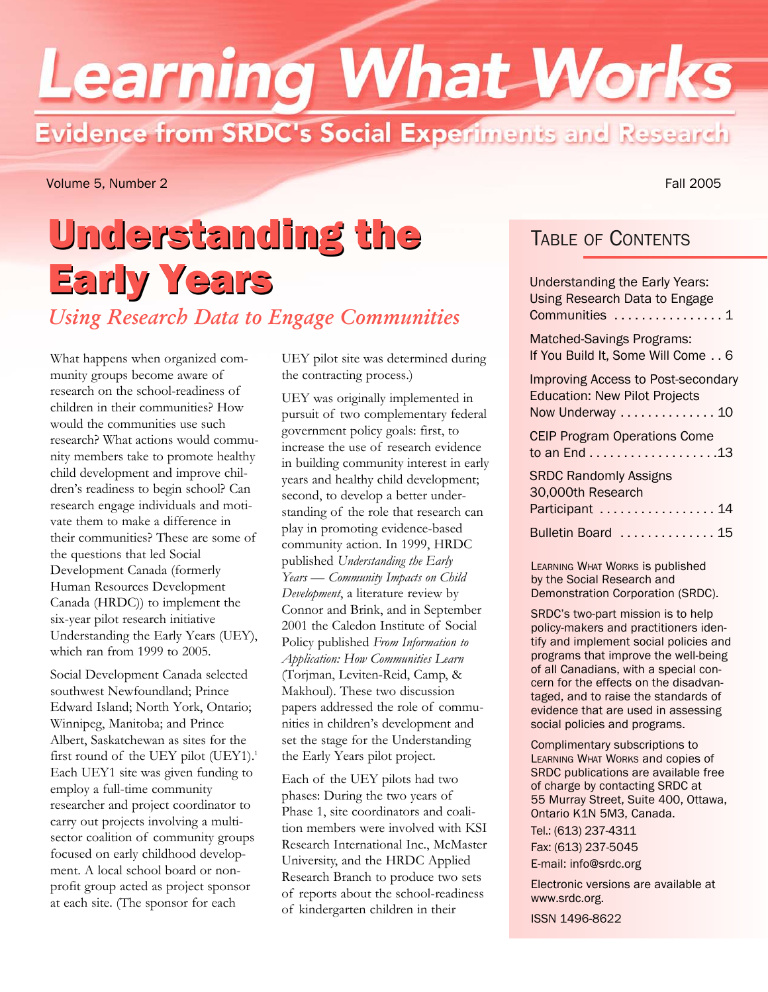# **Learning What Works** Evidence from SRDC's Social Experiments and Research

Volume 5, Number 2 Fall 2005

## Understanding the TABLE OF CONTENTS Early Years:<br>
Understanding the Early Years:<br>
Using Research Data to Engage *Using Research Data to Engage Communities*

What happens when organized community groups become aware of research on the school-readiness of children in their communities? How would the communities use such research? What actions would community members take to promote healthy child development and improve children's readiness to begin school? Can research engage individuals and motivate them to make a difference in their communities? These are some of the questions that led Social Development Canada (formerly Human Resources Development Canada (HRDC)) to implement the six-year pilot research initiative Understanding the Early Years (UEY), which ran from 1999 to 2005.

Social Development Canada selected southwest Newfoundland; Prince Edward Island; North York, Ontario; Winnipeg, Manitoba; and Prince Albert, Saskatchewan as sites for the first round of the UEY pilot (UEY1).<sup>1</sup> Each UEY1 site was given funding to employ a full-time community researcher and project coordinator to carry out projects involving a multisector coalition of community groups focused on early childhood development. A local school board or nonprofit group acted as project sponsor at each site. (The sponsor for each

UEY pilot site was determined during the contracting process.)

UEY was originally implemented in pursuit of two complementary federal government policy goals: first, to increase the use of research evidence in building community interest in early years and healthy child development; second, to develop a better understanding of the role that research can play in promoting evidence-based community action. In 1999, HRDC published *Understanding the Early Years — Community Impacts on Child Development*, a literature review by Connor and Brink, and in September 2001 the Caledon Institute of Social Policy published *From Information to Application: How Communities Learn* (Torjman, Leviten-Reid, Camp, & Makhoul). These two discussion papers addressed the role of communities in children's development and set the stage for the Understanding the Early Years pilot project.

Each of the UEY pilots had two phases: During the two years of Phase 1, site coordinators and coalition members were involved with KSI Research International Inc., McMaster University, and the HRDC Applied Research Branch to produce two sets of reports about the school-readiness of kindergarten children in their

| <b>Understanding the Early Years:</b><br><b>Using Research Data to Engage</b><br>Communities  1       |
|-------------------------------------------------------------------------------------------------------|
| <b>Matched-Savings Programs:</b><br>If You Build It, Some Will Come 6                                 |
| <b>Improving Access to Post-secondary</b><br><b>Education: New Pilot Projects</b><br>Now Underway  10 |
| <b>CEIP Program Operations Come</b>                                                                   |
| <b>SRDC Randomly Assigns</b><br>30,000th Research<br>Participant  14                                  |
| Bulletin Board  15                                                                                    |

LEARNING WHAT WORKS is published by the Social Research and Demonstration Corporation (SRDC).

SRDC's two-part mission is to help policy-makers and practitioners identify and implement social policies and programs that improve the well-being of all Canadians, with a special concern for the effects on the disadvantaged, and to raise the standards of evidence that are used in assessing social policies and programs.

Complimentary subscriptions to LEARNING WHAT WORKS and copies of SRDC publications are available free of charge by contacting SRDC at 55 Murray Street, Suite 400, Ottawa, Ontario K1N 5M3, Canada. Tel.: (613) 237-4311 Fax: (613) 237-5045 E-mail: info@srdc.org

Electronic versions are available at www.srdc.org.

ISSN 1496-8622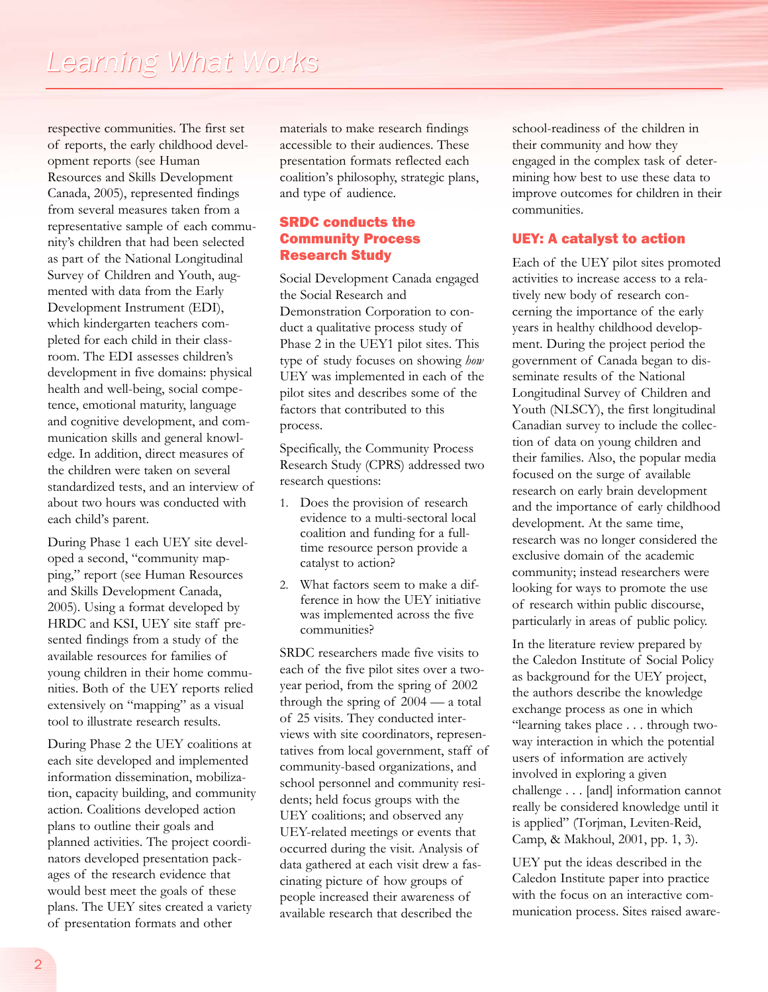respective communities. The first set of reports, the early childhood development reports (see Human Resources and Skills Development Canada, 2005), represented findings from several measures taken from a representative sample of each community's children that had been selected as part of the National Longitudinal Survey of Children and Youth, augmented with data from the Early Development Instrument (EDI), which kindergarten teachers completed for each child in their classroom. The EDI assesses children's development in five domains: physical health and well-being, social competence, emotional maturity, language and cognitive development, and communication skills and general knowledge. In addition, direct measures of the children were taken on several standardized tests, and an interview of about two hours was conducted with each child's parent.

During Phase 1 each UEY site developed a second, "community mapping," report (see Human Resources and Skills Development Canada, 2005). Using a format developed by HRDC and KSI, UEY site staff presented findings from a study of the available resources for families of young children in their home communities. Both of the UEY reports relied extensively on "mapping" as a visual tool to illustrate research results.

During Phase 2 the UEY coalitions at each site developed and implemented information dissemination, mobilization, capacity building, and community action. Coalitions developed action plans to outline their goals and planned activities. The project coordinators developed presentation packages of the research evidence that would best meet the goals of these plans. The UEY sites created a variety of presentation formats and other

materials to make research findings accessible to their audiences. These presentation formats reflected each coalition's philosophy, strategic plans, and type of audience.

## SRDC conducts the Community Process Research Study

Social Development Canada engaged the Social Research and Demonstration Corporation to conduct a qualitative process study of Phase 2 in the UEY1 pilot sites. This type of study focuses on showing *how* UEY was implemented in each of the pilot sites and describes some of the factors that contributed to this process.

Specifically, the Community Process Research Study (CPRS) addressed two research questions:

- 1. Does the provision of research evidence to a multi-sectoral local coalition and funding for a fulltime resource person provide a catalyst to action?
- 2. What factors seem to make a difference in how the UEY initiative was implemented across the five communities?

SRDC researchers made five visits to each of the five pilot sites over a twoyear period, from the spring of 2002 through the spring of 2004 — a total of 25 visits. They conducted interviews with site coordinators, representatives from local government, staff of community-based organizations, and school personnel and community residents; held focus groups with the UEY coalitions; and observed any UEY-related meetings or events that occurred during the visit. Analysis of data gathered at each visit drew a fascinating picture of how groups of people increased their awareness of available research that described the

school-readiness of the children in their community and how they engaged in the complex task of determining how best to use these data to improve outcomes for children in their communities.

## UEY: A catalyst to action

Each of the UEY pilot sites promoted activities to increase access to a relatively new body of research concerning the importance of the early years in healthy childhood development. During the project period the government of Canada began to disseminate results of the National Longitudinal Survey of Children and Youth (NLSCY), the first longitudinal Canadian survey to include the collection of data on young children and their families. Also, the popular media focused on the surge of available research on early brain development and the importance of early childhood development. At the same time, research was no longer considered the exclusive domain of the academic community; instead researchers were looking for ways to promote the use of research within public discourse, particularly in areas of public policy.

In the literature review prepared by the Caledon Institute of Social Policy as background for the UEY project, the authors describe the knowledge exchange process as one in which "learning takes place . . . through twoway interaction in which the potential users of information are actively involved in exploring a given challenge . . . [and] information cannot really be considered knowledge until it is applied" (Torjman, Leviten-Reid, Camp, & Makhoul, 2001, pp. 1, 3).

UEY put the ideas described in the Caledon Institute paper into practice with the focus on an interactive communication process. Sites raised aware-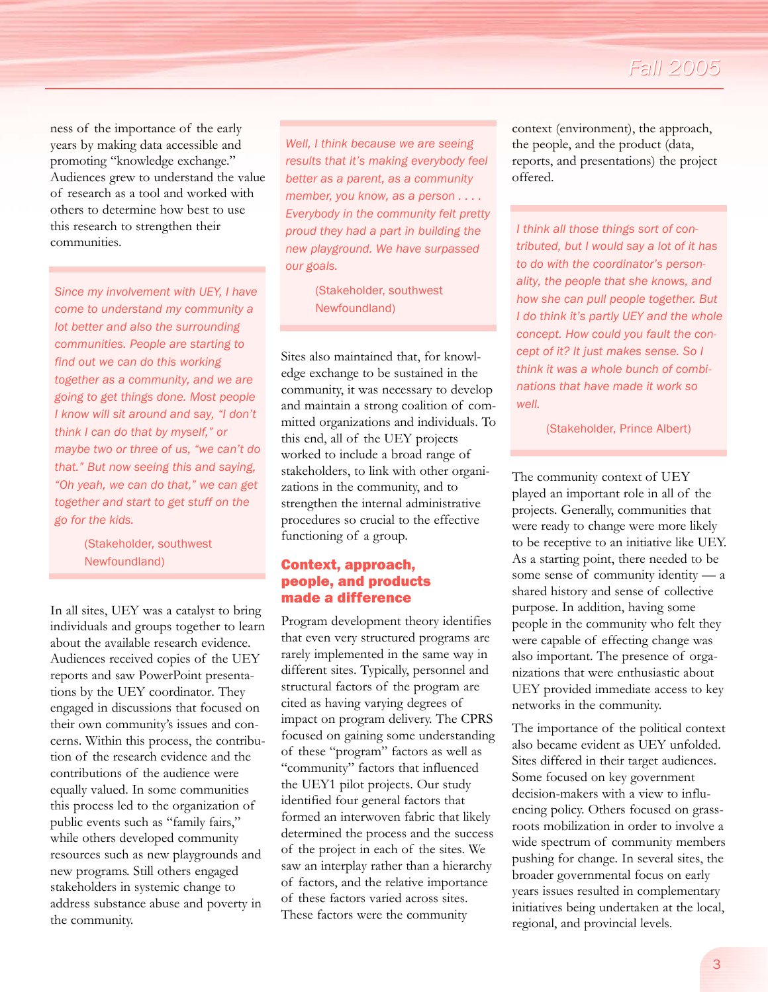## *Fall 2005*

ness of the importance of the early years by making data accessible and promoting "knowledge exchange." Audiences grew to understand the value of research as a tool and worked with others to determine how best to use this research to strengthen their communities.

*Since my involvement with UEY, I have come to understand my community a lot better and also the surrounding communities. People are starting to find out we can do this working together as a community, and we are going to get things done. Most people I know will sit around and say, "I don't think I can do that by myself," or maybe two or three of us, "we can't do that." But now seeing this and saying, "Oh yeah, we can do that," we can get together and start to get stuff on the go for the kids.* 

> (Stakeholder, southwest Newfoundland)

In all sites, UEY was a catalyst to bring individuals and groups together to learn about the available research evidence. Audiences received copies of the UEY reports and saw PowerPoint presentations by the UEY coordinator. They engaged in discussions that focused on their own community's issues and concerns. Within this process, the contribution of the research evidence and the contributions of the audience were equally valued. In some communities this process led to the organization of public events such as "family fairs," while others developed community resources such as new playgrounds and new programs. Still others engaged stakeholders in systemic change to address substance abuse and poverty in the community.

*Well, I think because we are seeing results that it's making everybody feel better as a parent, as a community member, you know, as a person . . . . Everybody in the community felt pretty proud they had a part in building the new playground. We have surpassed our goals.* 

> (Stakeholder, southwest Newfoundland)

Sites also maintained that, for knowledge exchange to be sustained in the community, it was necessary to develop and maintain a strong coalition of committed organizations and individuals. To this end, all of the UEY projects worked to include a broad range of stakeholders, to link with other organizations in the community, and to strengthen the internal administrative procedures so crucial to the effective functioning of a group.

### Context, approach, people, and products made a difference

Program development theory identifies that even very structured programs are rarely implemented in the same way in different sites. Typically, personnel and structural factors of the program are cited as having varying degrees of impact on program delivery. The CPRS focused on gaining some understanding of these "program" factors as well as "community" factors that influenced the UEY1 pilot projects. Our study identified four general factors that formed an interwoven fabric that likely determined the process and the success of the project in each of the sites. We saw an interplay rather than a hierarchy of factors, and the relative importance of these factors varied across sites. These factors were the community

context (environment), the approach, the people, and the product (data, reports, and presentations) the project offered.

*I think all those things sort of contributed, but I would say a lot of it has to do with the coordinator's personality, the people that she knows, and how she can pull people together. But I do think it's partly UEY and the whole concept. How could you fault the concept of it? It just makes sense. So I think it was a whole bunch of combinations that have made it work so well.* 

(Stakeholder, Prince Albert)

The community context of UEY played an important role in all of the projects. Generally, communities that were ready to change were more likely to be receptive to an initiative like UEY. As a starting point, there needed to be some sense of community identity — a shared history and sense of collective purpose. In addition, having some people in the community who felt they were capable of effecting change was also important. The presence of organizations that were enthusiastic about UEY provided immediate access to key networks in the community.

The importance of the political context also became evident as UEY unfolded. Sites differed in their target audiences. Some focused on key government decision-makers with a view to influencing policy. Others focused on grassroots mobilization in order to involve a wide spectrum of community members pushing for change. In several sites, the broader governmental focus on early years issues resulted in complementary initiatives being undertaken at the local, regional, and provincial levels.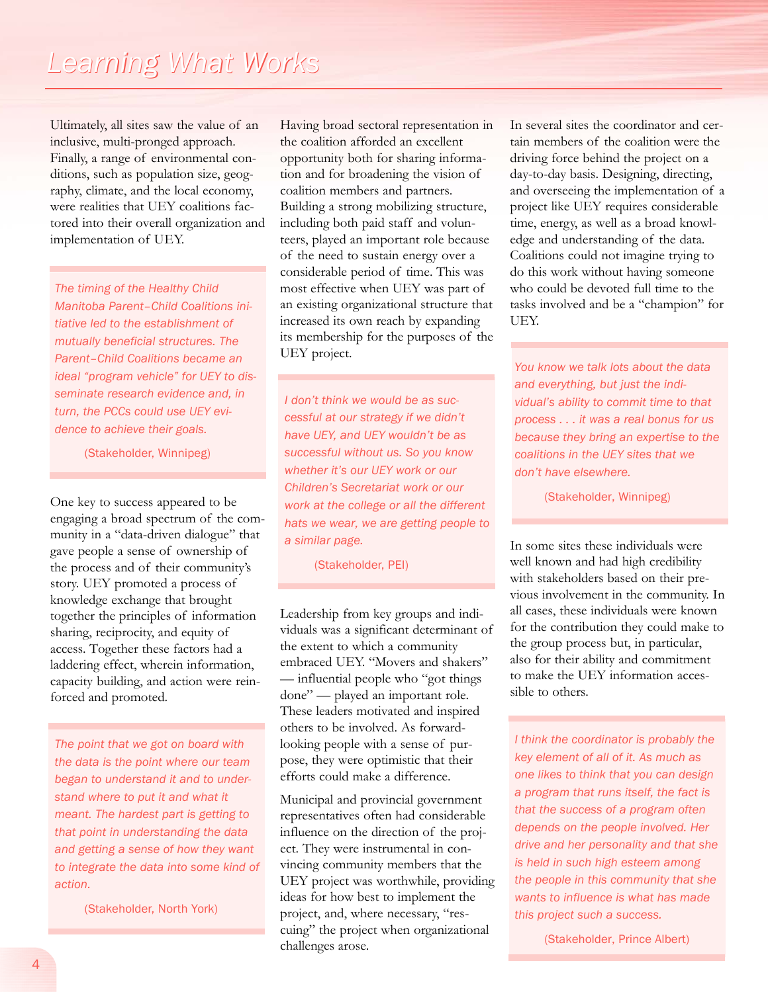Ultimately, all sites saw the value of an inclusive, multi-pronged approach. Finally, a range of environmental conditions, such as population size, geography, climate, and the local economy, were realities that UEY coalitions factored into their overall organization and implementation of UEY.

*The timing of the Healthy Child Manitoba Parent–Child Coalitions initiative led to the establishment of mutually beneficial structures. The Parent–Child Coalitions became an ideal "program vehicle" for UEY to disseminate research evidence and, in turn, the PCCs could use UEY evidence to achieve their goals.* 

(Stakeholder, Winnipeg)

One key to success appeared to be engaging a broad spectrum of the community in a "data-driven dialogue" that gave people a sense of ownership of the process and of their community's story. UEY promoted a process of knowledge exchange that brought together the principles of information sharing, reciprocity, and equity of access. Together these factors had a laddering effect, wherein information, capacity building, and action were reinforced and promoted.

*The point that we got on board with the data is the point where our team began to understand it and to understand where to put it and what it meant. The hardest part is getting to that point in understanding the data and getting a sense of how they want to integrate the data into some kind of action.* 

(Stakeholder, North York)

Having broad sectoral representation in the coalition afforded an excellent opportunity both for sharing information and for broadening the vision of coalition members and partners. Building a strong mobilizing structure, including both paid staff and volunteers, played an important role because of the need to sustain energy over a considerable period of time. This was most effective when UEY was part of an existing organizational structure that increased its own reach by expanding its membership for the purposes of the UEY project.

*I don't think we would be as successful at our strategy if we didn't have UEY, and UEY wouldn't be as successful without us. So you know whether it's our UEY work or our Children's Secretariat work or our work at the college or all the different hats we wear, we are getting people to a similar page.*

(Stakeholder, PEI)

Leadership from key groups and individuals was a significant determinant of the extent to which a community embraced UEY. "Movers and shakers" — influential people who "got things done" — played an important role. These leaders motivated and inspired others to be involved. As forwardlooking people with a sense of purpose, they were optimistic that their efforts could make a difference.

Municipal and provincial government representatives often had considerable influence on the direction of the project. They were instrumental in convincing community members that the UEY project was worthwhile, providing ideas for how best to implement the project, and, where necessary, "rescuing" the project when organizational challenges arose.

In several sites the coordinator and certain members of the coalition were the driving force behind the project on a day-to-day basis. Designing, directing, and overseeing the implementation of a project like UEY requires considerable time, energy, as well as a broad knowledge and understanding of the data. Coalitions could not imagine trying to do this work without having someone who could be devoted full time to the tasks involved and be a "champion" for UEY.

*You know we talk lots about the data and everything, but just the individual's ability to commit time to that process . . . it was a real bonus for us because they bring an expertise to the coalitions in the UEY sites that we don't have elsewhere.* 

(Stakeholder, Winnipeg)

In some sites these individuals were well known and had high credibility with stakeholders based on their previous involvement in the community. In all cases, these individuals were known for the contribution they could make to the group process but, in particular, also for their ability and commitment to make the UEY information accessible to others.

*I think the coordinator is probably the key element of all of it. As much as one likes to think that you can design a program that runs itself, the fact is that the success of a program often depends on the people involved. Her drive and her personality and that she is held in such high esteem among the people in this community that she wants to influence is what has made this project such a success.*

(Stakeholder, Prince Albert)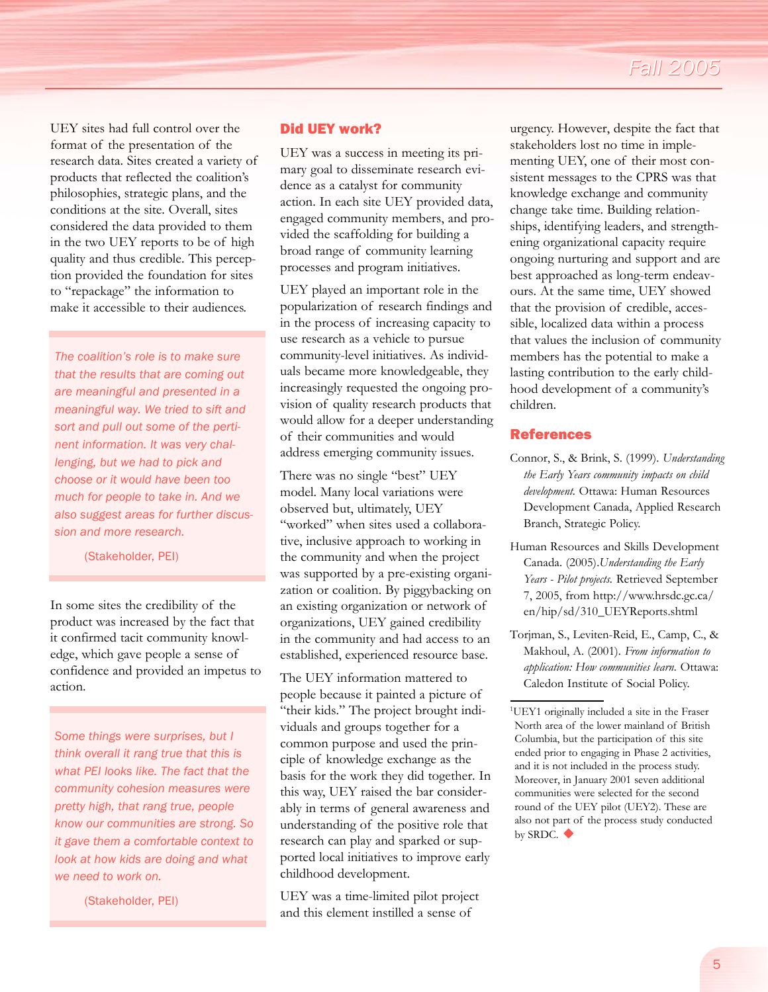UEY sites had full control over the format of the presentation of the research data. Sites created a variety of products that reflected the coalition's philosophies, strategic plans, and the conditions at the site. Overall, sites considered the data provided to them in the two UEY reports to be of high quality and thus credible. This perception provided the foundation for sites to "repackage" the information to make it accessible to their audiences.

*The coalition's role is to make sure that the results that are coming out are meaningful and presented in a meaningful way. We tried to sift and sort and pull out some of the pertinent information. It was very challenging, but we had to pick and choose or it would have been too much for people to take in. And we also suggest areas for further discussion and more research.* 

(Stakeholder, PEI)

In some sites the credibility of the product was increased by the fact that it confirmed tacit community knowledge, which gave people a sense of confidence and provided an impetus to action.

*Some things were surprises, but I think overall it rang true that this is what PEI looks like. The fact that the community cohesion measures were pretty high, that rang true, people know our communities are strong. So it gave them a comfortable context to look at how kids are doing and what we need to work on.*

(Stakeholder, PEI)

### Did UEY work?

UEY was a success in meeting its primary goal to disseminate research evidence as a catalyst for community action. In each site UEY provided data, engaged community members, and provided the scaffolding for building a broad range of community learning processes and program initiatives.

UEY played an important role in the popularization of research findings and in the process of increasing capacity to use research as a vehicle to pursue community-level initiatives. As individuals became more knowledgeable, they increasingly requested the ongoing provision of quality research products that would allow for a deeper understanding of their communities and would address emerging community issues.

There was no single "best" UEY model. Many local variations were observed but, ultimately, UEY "worked" when sites used a collaborative, inclusive approach to working in the community and when the project was supported by a pre-existing organization or coalition. By piggybacking on an existing organization or network of organizations, UEY gained credibility in the community and had access to an established, experienced resource base.

The UEY information mattered to people because it painted a picture of "their kids." The project brought individuals and groups together for a common purpose and used the principle of knowledge exchange as the basis for the work they did together. In this way, UEY raised the bar considerably in terms of general awareness and understanding of the positive role that research can play and sparked or supported local initiatives to improve early childhood development.

UEY was a time-limited pilot project and this element instilled a sense of

urgency. However, despite the fact that stakeholders lost no time in implementing UEY, one of their most consistent messages to the CPRS was that knowledge exchange and community change take time. Building relationships, identifying leaders, and strengthening organizational capacity require ongoing nurturing and support and are best approached as long-term endeavours. At the same time, UEY showed that the provision of credible, accessible, localized data within a process that values the inclusion of community members has the potential to make a lasting contribution to the early childhood development of a community's children.

### References

- Connor, S., & Brink, S. (1999). *Understanding the Early Years community impacts on child development.* Ottawa: Human Resources Development Canada, Applied Research Branch, Strategic Policy.
- Human Resources and Skills Development Canada. (2005).*Understanding the Early Years - Pilot projects.* Retrieved September 7, 2005, from http://www.hrsdc.gc.ca/ en/hip/sd/310\_UEYReports.shtml
- Torjman, S., Leviten-Reid, E., Camp, C., & Makhoul, A. (2001). *From information to application: How communities learn.* Ottawa: Caledon Institute of Social Policy.

<sup>&</sup>lt;sup>1</sup>UEY1 originally included a site in the Fraser North area of the lower mainland of British Columbia, but the participation of this site ended prior to engaging in Phase 2 activities, and it is not included in the process study. Moreover, in January 2001 seven additional communities were selected for the second round of the UEY pilot (UEY2). These are also not part of the process study conducted by SRDC.  $\blacklozenge$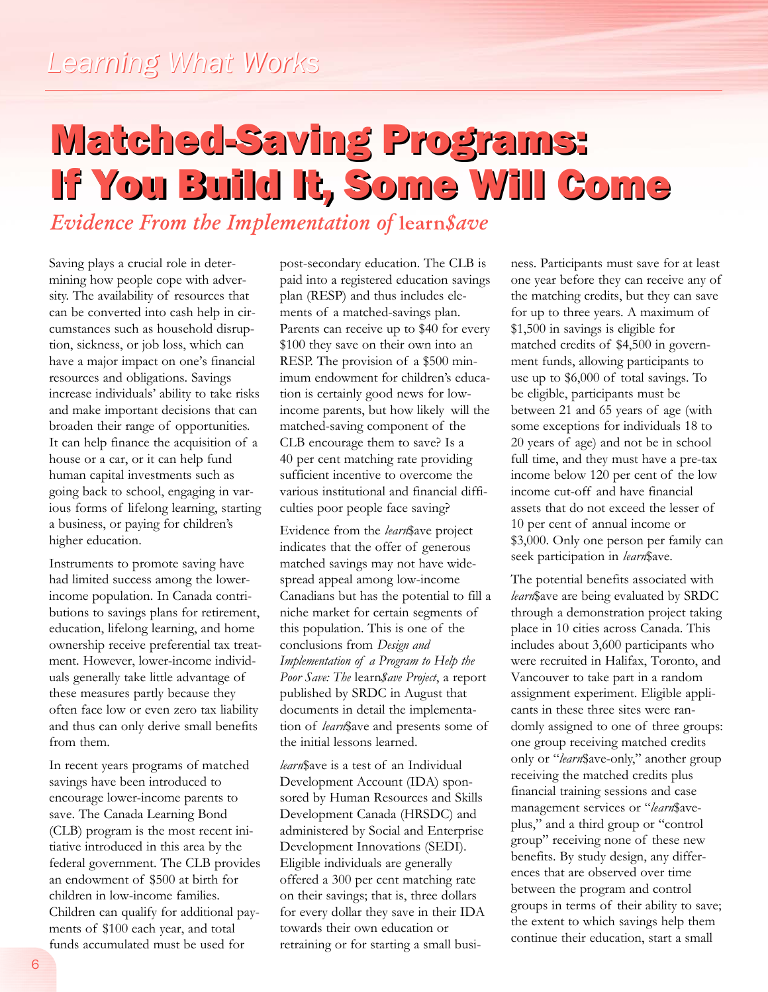## Matched-Saving Programs: Matched-Saving Programs: If You Build It, Some Will Come You Build It, Some Will Come

*Evidence From the Implementation of* **learn***\$ave*

Saving plays a crucial role in determining how people cope with adversity. The availability of resources that can be converted into cash help in circumstances such as household disruption, sickness, or job loss, which can have a major impact on one's financial resources and obligations. Savings increase individuals' ability to take risks and make important decisions that can broaden their range of opportunities. It can help finance the acquisition of a house or a car, or it can help fund human capital investments such as going back to school, engaging in various forms of lifelong learning, starting a business, or paying for children's higher education.

Instruments to promote saving have had limited success among the lowerincome population. In Canada contributions to savings plans for retirement, education, lifelong learning, and home ownership receive preferential tax treatment. However, lower-income individuals generally take little advantage of these measures partly because they often face low or even zero tax liability and thus can only derive small benefits from them.

In recent years programs of matched savings have been introduced to encourage lower-income parents to save. The Canada Learning Bond (CLB) program is the most recent initiative introduced in this area by the federal government. The CLB provides an endowment of \$500 at birth for children in low-income families. Children can qualify for additional payments of \$100 each year, and total funds accumulated must be used for

post-secondary education. The CLB is paid into a registered education savings plan (RESP) and thus includes elements of a matched-savings plan. Parents can receive up to \$40 for every \$100 they save on their own into an RESP. The provision of a \$500 minimum endowment for children's education is certainly good news for lowincome parents, but how likely will the matched-saving component of the CLB encourage them to save? Is a 40 per cent matching rate providing sufficient incentive to overcome the various institutional and financial difficulties poor people face saving?

Evidence from the *learn*\$ave project indicates that the offer of generous matched savings may not have widespread appeal among low-income Canadians but has the potential to fill a niche market for certain segments of this population. This is one of the conclusions from *Design and Implementation of a Program to Help the Poor Save: The* learn*\$ave Project*, a report published by SRDC in August that documents in detail the implementation of *learn*\$ave and presents some of the initial lessons learned.

*learn*\$ave is a test of an Individual Development Account (IDA) sponsored by Human Resources and Skills Development Canada (HRSDC) and administered by Social and Enterprise Development Innovations (SEDI). Eligible individuals are generally offered a 300 per cent matching rate on their savings; that is, three dollars for every dollar they save in their IDA towards their own education or retraining or for starting a small busi-

ness. Participants must save for at least one year before they can receive any of the matching credits, but they can save for up to three years. A maximum of \$1,500 in savings is eligible for matched credits of \$4,500 in government funds, allowing participants to use up to \$6,000 of total savings. To be eligible, participants must be between 21 and 65 years of age (with some exceptions for individuals 18 to 20 years of age) and not be in school full time, and they must have a pre-tax income below 120 per cent of the low income cut-off and have financial assets that do not exceed the lesser of 10 per cent of annual income or \$3,000. Only one person per family can seek participation in *learn*\$ave.

The potential benefits associated with *learn*\$ave are being evaluated by SRDC through a demonstration project taking place in 10 cities across Canada. This includes about 3,600 participants who were recruited in Halifax, Toronto, and Vancouver to take part in a random assignment experiment. Eligible applicants in these three sites were randomly assigned to one of three groups: one group receiving matched credits only or "*learn*\$ave-only," another group receiving the matched credits plus financial training sessions and case management services or "*learn*\$aveplus," and a third group or "control group" receiving none of these new benefits. By study design, any differences that are observed over time between the program and control groups in terms of their ability to save; the extent to which savings help them continue their education, start a small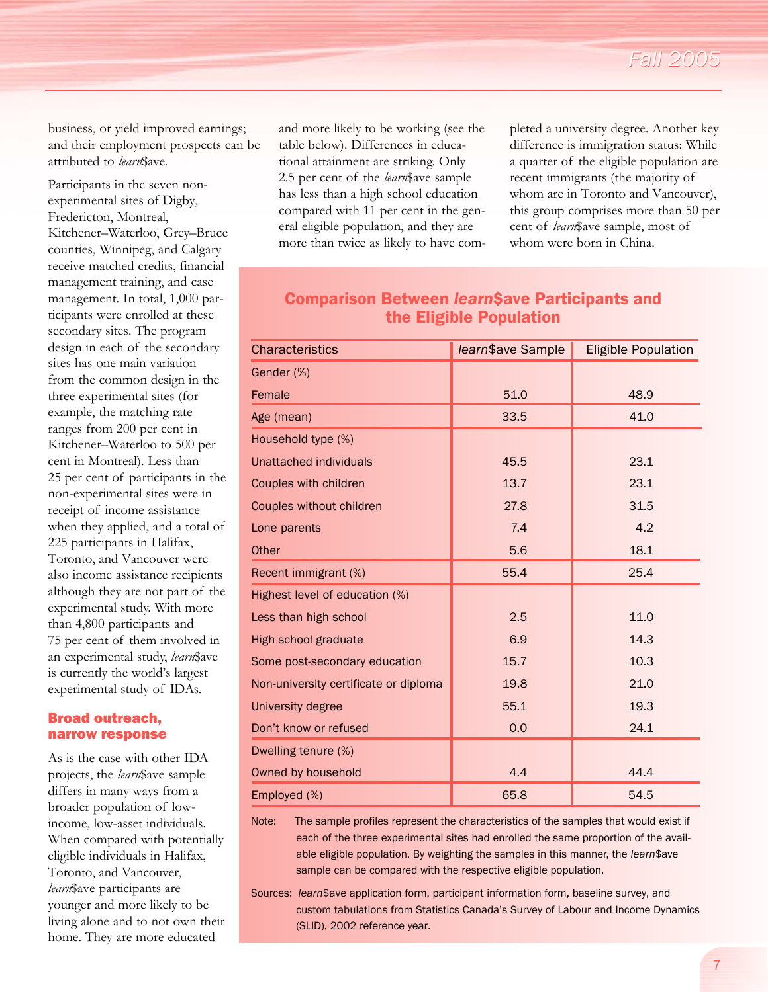business, or yield improved earnings; and their employment prospects can be attributed to *learn*\$ave.

Participants in the seven nonexperimental sites of Digby, Fredericton, Montreal, Kitchener–Waterloo, Grey–Bruce counties, Winnipeg, and Calgary receive matched credits, financial management training, and case management. In total, 1,000 participants were enrolled at these secondary sites. The program design in each of the secondary sites has one main variation from the common design in the three experimental sites (for example, the matching rate ranges from 200 per cent in Kitchener–Waterloo to 500 per cent in Montreal). Less than 25 per cent of participants in the non-experimental sites were in receipt of income assistance when they applied, and a total of 225 participants in Halifax, Toronto, and Vancouver were also income assistance recipients although they are not part of the experimental study. With more than 4,800 participants and 75 per cent of them involved in an experimental study, *learn*\$ave is currently the world's largest experimental study of IDAs.

#### Broad outreach, narrow response

As is the case with other IDA projects, the *learn*\$ave sample differs in many ways from a broader population of lowincome, low-asset individuals. When compared with potentially eligible individuals in Halifax, Toronto, and Vancouver, *learn*\$ave participants are younger and more likely to be living alone and to not own their home. They are more educated

and more likely to be working (see the table below). Differences in educational attainment are striking. Only 2.5 per cent of the *learn*\$ave sample has less than a high school education compared with 11 per cent in the general eligible population, and they are more than twice as likely to have completed a university degree. Another key difference is immigration status: While a quarter of the eligible population are recent immigrants (the majority of whom are in Toronto and Vancouver), this group comprises more than 50 per cent of *learn*\$ave sample, most of whom were born in China.

## Comparison Between *learn*\$ave Participants and the Eligible Population

| <b>Characteristics</b>                | learn\$ave Sample | <b>Eligible Population</b> |
|---------------------------------------|-------------------|----------------------------|
| Gender (%)                            |                   |                            |
| Female                                | 51.0              | 48.9                       |
| Age (mean)                            | 33.5              | 41.0                       |
| Household type (%)                    |                   |                            |
| Unattached individuals                | 45.5              | 23.1                       |
| Couples with children                 | 13.7              | 23.1                       |
| Couples without children              | 27.8              | 31.5                       |
| Lone parents                          | 7.4               | 4.2                        |
| Other                                 | 5.6               | 18.1                       |
| Recent immigrant (%)                  | 55.4              | 25.4                       |
| Highest level of education (%)        |                   |                            |
| Less than high school                 | 2.5               | 11.0                       |
| High school graduate                  | 6.9               | 14.3                       |
| Some post-secondary education         | 15.7              | 10.3                       |
| Non-university certificate or diploma | 19.8              | 21.0                       |
| University degree                     | 55.1              | 19.3                       |
| Don't know or refused                 | 0.0               | 24.1                       |
| Dwelling tenure (%)                   |                   |                            |
| Owned by household                    | 4.4               | 44.4                       |
| Employed (%)                          | 65.8              | 54.5                       |

Note: The sample profiles represent the characteristics of the samples that would exist if each of the three experimental sites had enrolled the same proportion of the available eligible population. By weighting the samples in this manner, the *learn*\$ave sample can be compared with the respective eligible population.

Sources: *learn*\$ave application form, participant information form, baseline survey, and custom tabulations from Statistics Canada's Survey of Labour and Income Dynamics (SLID), 2002 reference year.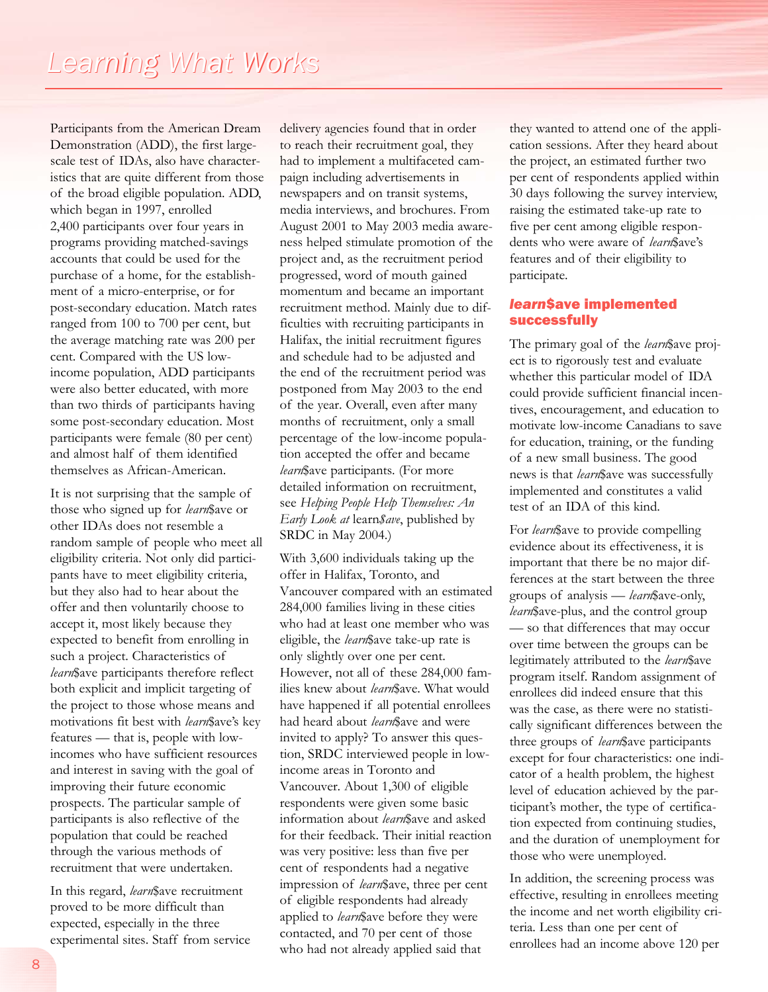Participants from the American Dream Demonstration (ADD), the first largescale test of IDAs, also have characteristics that are quite different from those of the broad eligible population. ADD, which began in 1997, enrolled 2,400 participants over four years in programs providing matched-savings accounts that could be used for the purchase of a home, for the establishment of a micro-enterprise, or for post-secondary education. Match rates ranged from 100 to 700 per cent, but the average matching rate was 200 per cent. Compared with the US lowincome population, ADD participants were also better educated, with more than two thirds of participants having some post-secondary education. Most participants were female (80 per cent) and almost half of them identified themselves as African-American.

It is not surprising that the sample of those who signed up for *learn*\$ave or other IDAs does not resemble a random sample of people who meet all eligibility criteria. Not only did participants have to meet eligibility criteria, but they also had to hear about the offer and then voluntarily choose to accept it, most likely because they expected to benefit from enrolling in such a project. Characteristics of *learn*\$ave participants therefore reflect both explicit and implicit targeting of the project to those whose means and motivations fit best with *learn*\$ave's key features — that is, people with lowincomes who have sufficient resources and interest in saving with the goal of improving their future economic prospects. The particular sample of participants is also reflective of the population that could be reached through the various methods of recruitment that were undertaken.

In this regard, *learn*\$ave recruitment proved to be more difficult than expected, especially in the three experimental sites. Staff from service delivery agencies found that in order to reach their recruitment goal, they had to implement a multifaceted campaign including advertisements in newspapers and on transit systems, media interviews, and brochures. From August 2001 to May 2003 media awareness helped stimulate promotion of the project and, as the recruitment period progressed, word of mouth gained momentum and became an important recruitment method. Mainly due to difficulties with recruiting participants in Halifax, the initial recruitment figures and schedule had to be adjusted and the end of the recruitment period was postponed from May 2003 to the end of the year. Overall, even after many months of recruitment, only a small percentage of the low-income population accepted the offer and became *learn*\$ave participants. (For more detailed information on recruitment, see *Helping People Help Themselves: An Early Look at* learn*\$ave*, published by SRDC in May 2004.)

With 3,600 individuals taking up the offer in Halifax, Toronto, and Vancouver compared with an estimated 284,000 families living in these cities who had at least one member who was eligible, the *learn*\$ave take-up rate is only slightly over one per cent. However, not all of these 284,000 families knew about *learn*\$ave. What would have happened if all potential enrollees had heard about *learn*\$ave and were invited to apply? To answer this question, SRDC interviewed people in lowincome areas in Toronto and Vancouver. About 1,300 of eligible respondents were given some basic information about *learn*\$ave and asked for their feedback. Their initial reaction was very positive: less than five per cent of respondents had a negative impression of *learn*\$ave, three per cent of eligible respondents had already applied to *learn*\$ave before they were contacted, and 70 per cent of those who had not already applied said that

they wanted to attend one of the application sessions. After they heard about the project, an estimated further two per cent of respondents applied within 30 days following the survey interview, raising the estimated take-up rate to five per cent among eligible respondents who were aware of *learn*\$ave's features and of their eligibility to participate.

### *learn*\$ave implemented successfully

The primary goal of the *learn*\$ave project is to rigorously test and evaluate whether this particular model of IDA could provide sufficient financial incentives, encouragement, and education to motivate low-income Canadians to save for education, training, or the funding of a new small business. The good news is that *learn*\$ave was successfully implemented and constitutes a valid test of an IDA of this kind.

For *learn*\$ave to provide compelling evidence about its effectiveness, it is important that there be no major differences at the start between the three groups of analysis — *learn*\$ave-only, *learn*\$ave-plus, and the control group — so that differences that may occur over time between the groups can be legitimately attributed to the *learn*\$ave program itself. Random assignment of enrollees did indeed ensure that this was the case, as there were no statistically significant differences between the three groups of *learn*\$ave participants except for four characteristics: one indicator of a health problem, the highest level of education achieved by the participant's mother, the type of certification expected from continuing studies, and the duration of unemployment for those who were unemployed.

In addition, the screening process was effective, resulting in enrollees meeting the income and net worth eligibility criteria. Less than one per cent of enrollees had an income above 120 per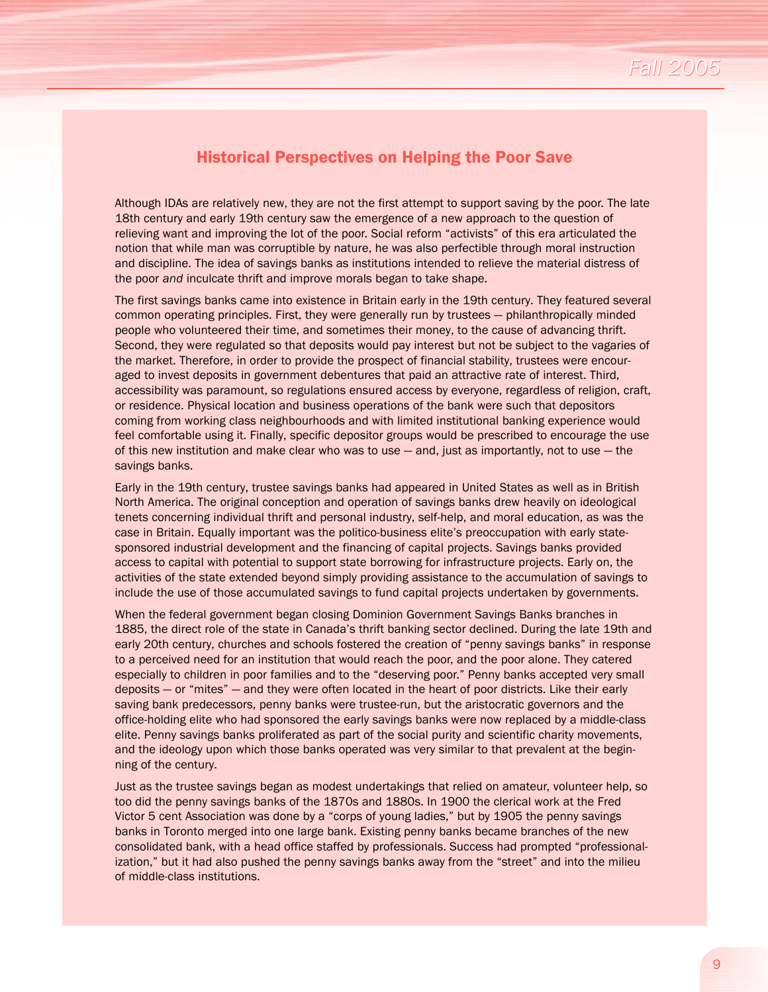## Historical Perspectives on Helping the Poor Save

Although IDAs are relatively new, they are not the first attempt to support saving by the poor. The late 18th century and early 19th century saw the emergence of a new approach to the question of relieving want and improving the lot of the poor. Social reform "activists" of this era articulated the notion that while man was corruptible by nature, he was also perfectible through moral instruction and discipline. The idea of savings banks as institutions intended to relieve the material distress of the poor *and* inculcate thrift and improve morals began to take shape.

The first savings banks came into existence in Britain early in the 19th century. They featured several common operating principles. First, they were generally run by trustees — philanthropically minded people who volunteered their time, and sometimes their money, to the cause of advancing thrift. Second, they were regulated so that deposits would pay interest but not be subject to the vagaries of the market. Therefore, in order to provide the prospect of financial stability, trustees were encouraged to invest deposits in government debentures that paid an attractive rate of interest. Third, accessibility was paramount, so regulations ensured access by everyone, regardless of religion, craft, or residence. Physical location and business operations of the bank were such that depositors coming from working class neighbourhoods and with limited institutional banking experience would feel comfortable using it. Finally, specific depositor groups would be prescribed to encourage the use of this new institution and make clear who was to use  $-$  and, just as importantly, not to use  $-$  the savings banks.

Early in the 19th century, trustee savings banks had appeared in United States as well as in British North America. The original conception and operation of savings banks drew heavily on ideological tenets concerning individual thrift and personal industry, self-help, and moral education, as was the case in Britain. Equally important was the politico-business elite's preoccupation with early statesponsored industrial development and the financing of capital projects. Savings banks provided access to capital with potential to support state borrowing for infrastructure projects. Early on, the activities of the state extended beyond simply providing assistance to the accumulation of savings to include the use of those accumulated savings to fund capital projects undertaken by governments.

When the federal government began closing Dominion Government Savings Banks branches in 1885, the direct role of the state in Canada's thrift banking sector declined. During the late 19th and early 20th century, churches and schools fostered the creation of "penny savings banks" in response to a perceived need for an institution that would reach the poor, and the poor alone. They catered especially to children in poor families and to the "deserving poor." Penny banks accepted very small deposits — or "mites" — and they were often located in the heart of poor districts. Like their early saving bank predecessors, penny banks were trustee-run, but the aristocratic governors and the office-holding elite who had sponsored the early savings banks were now replaced by a middle-class elite. Penny savings banks proliferated as part of the social purity and scientific charity movements, and the ideology upon which those banks operated was very similar to that prevalent at the beginning of the century.

Just as the trustee savings began as modest undertakings that relied on amateur, volunteer help, so too did the penny savings banks of the 1870s and 1880s. In 1900 the clerical work at the Fred Victor 5 cent Association was done by a "corps of young ladies," but by 1905 the penny savings banks in Toronto merged into one large bank. Existing penny banks became branches of the new consolidated bank, with a head office staffed by professionals. Success had prompted "professionalization," but it had also pushed the penny savings banks away from the "street" and into the milieu of middle-class institutions.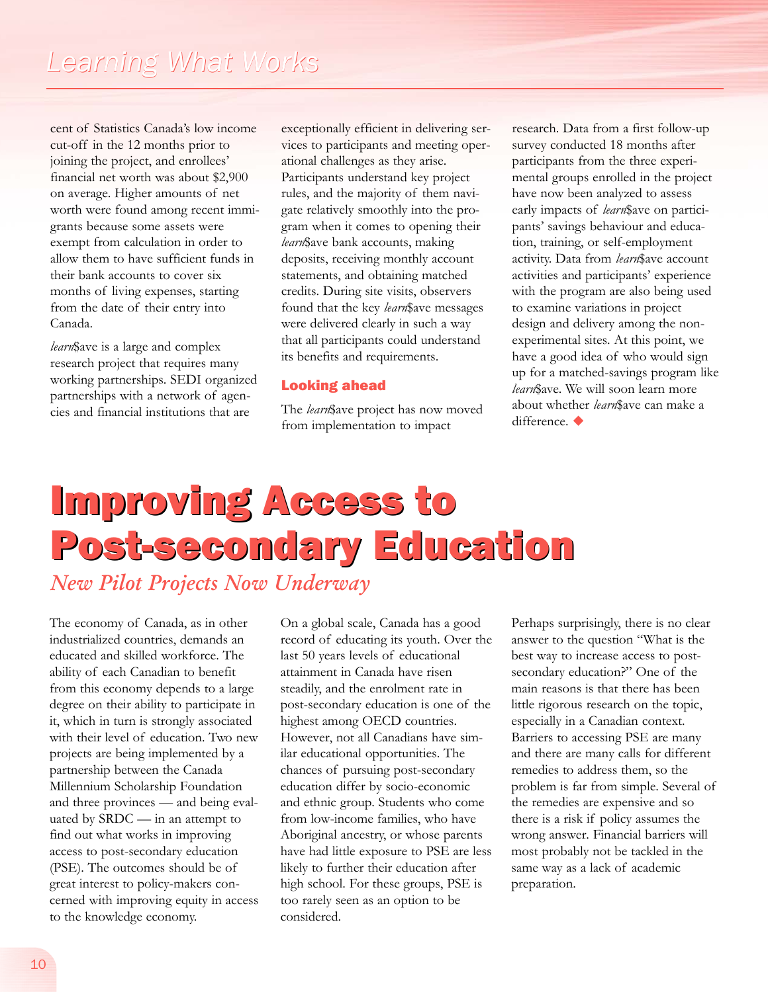cent of Statistics Canada's low income cut-off in the 12 months prior to joining the project, and enrollees' financial net worth was about \$2,900 on average. Higher amounts of net worth were found among recent immigrants because some assets were exempt from calculation in order to allow them to have sufficient funds in their bank accounts to cover six months of living expenses, starting from the date of their entry into Canada.

*learn*\$ave is a large and complex research project that requires many working partnerships. SEDI organized partnerships with a network of agencies and financial institutions that are

exceptionally efficient in delivering services to participants and meeting operational challenges as they arise. Participants understand key project rules, and the majority of them navigate relatively smoothly into the program when it comes to opening their *learn*\$ave bank accounts, making deposits, receiving monthly account statements, and obtaining matched credits. During site visits, observers found that the key *learn*\$ave messages were delivered clearly in such a way that all participants could understand its benefits and requirements.

## Looking ahead

The *learn*\$ave project has now moved from implementation to impact

research. Data from a first follow-up survey conducted 18 months after participants from the three experimental groups enrolled in the project have now been analyzed to assess early impacts of *learn*\$ave on participants' savings behaviour and education, training, or self-employment activity. Data from *learn*\$ave account activities and participants' experience with the program are also being used to examine variations in project design and delivery among the nonexperimental sites. At this point, we have a good idea of who would sign up for a matched-savings program like *learn*\$ave. We will soon learn more about whether *learn*\$ave can make a  $d$ ifference. $\blacklozenge$ 

## Improving Access to Post-secondary Education *New Pilot Projects Now Underway*

The economy of Canada, as in other industrialized countries, demands an educated and skilled workforce. The ability of each Canadian to benefit from this economy depends to a large degree on their ability to participate in it, which in turn is strongly associated with their level of education. Two new projects are being implemented by a partnership between the Canada Millennium Scholarship Foundation and three provinces — and being evaluated by SRDC — in an attempt to find out what works in improving access to post-secondary education (PSE). The outcomes should be of great interest to policy-makers concerned with improving equity in access to the knowledge economy.

On a global scale, Canada has a good record of educating its youth. Over the last 50 years levels of educational attainment in Canada have risen steadily, and the enrolment rate in post-secondary education is one of the highest among OECD countries. However, not all Canadians have similar educational opportunities. The chances of pursuing post-secondary education differ by socio-economic and ethnic group. Students who come from low-income families, who have Aboriginal ancestry, or whose parents have had little exposure to PSE are less likely to further their education after high school. For these groups, PSE is too rarely seen as an option to be considered.

Perhaps surprisingly, there is no clear answer to the question "What is the best way to increase access to postsecondary education?" One of the main reasons is that there has been little rigorous research on the topic, especially in a Canadian context. Barriers to accessing PSE are many and there are many calls for different remedies to address them, so the problem is far from simple. Several of the remedies are expensive and so there is a risk if policy assumes the wrong answer. Financial barriers will most probably not be tackled in the same way as a lack of academic preparation.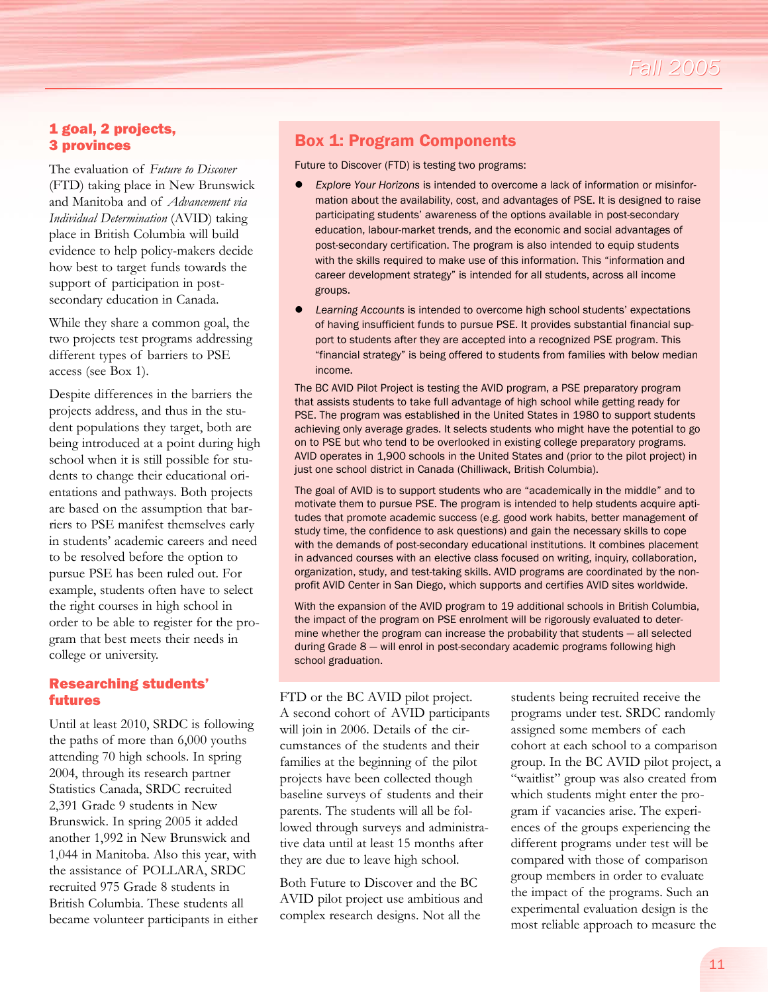## 1 goal, 2 projects, 3 provinces

The evaluation of *Future to Discover* (FTD) taking place in New Brunswick and Manitoba and of *Advancement via Individual Determination* (AVID) taking place in British Columbia will build evidence to help policy-makers decide how best to target funds towards the support of participation in postsecondary education in Canada.

While they share a common goal, the two projects test programs addressing different types of barriers to PSE access (see Box 1).

Despite differences in the barriers the projects address, and thus in the student populations they target, both are being introduced at a point during high school when it is still possible for students to change their educational orientations and pathways. Both projects are based on the assumption that barriers to PSE manifest themselves early in students' academic careers and need to be resolved before the option to pursue PSE has been ruled out. For example, students often have to select the right courses in high school in order to be able to register for the program that best meets their needs in college or university.

## Researching students' futures

Until at least 2010, SRDC is following the paths of more than 6,000 youths attending 70 high schools. In spring 2004, through its research partner Statistics Canada, SRDC recruited 2,391 Grade 9 students in New Brunswick. In spring 2005 it added another 1,992 in New Brunswick and 1,044 in Manitoba. Also this year, with the assistance of POLLARA, SRDC recruited 975 Grade 8 students in British Columbia. These students all became volunteer participants in either

## Box 1: Program Components

Future to Discover (FTD) is testing two programs:

- l *Explore Your Horizons* is intended to overcome a lack of information or misinformation about the availability, cost, and advantages of PSE. It is designed to raise participating students' awareness of the options available in post-secondary education, labour-market trends, and the economic and social advantages of post-secondary certification. The program is also intended to equip students with the skills required to make use of this information. This "information and career development strategy" is intended for all students, across all income groups.
- l *Learning Accounts* is intended to overcome high school students' expectations of having insufficient funds to pursue PSE. It provides substantial financial support to students after they are accepted into a recognized PSE program. This "financial strategy" is being offered to students from families with below median income.

The BC AVID Pilot Project is testing the AVID program, a PSE preparatory program that assists students to take full advantage of high school while getting ready for PSE. The program was established in the United States in 1980 to support students achieving only average grades. It selects students who might have the potential to go on to PSE but who tend to be overlooked in existing college preparatory programs. AVID operates in 1,900 schools in the United States and (prior to the pilot project) in just one school district in Canada (Chilliwack, British Columbia).

The goal of AVID is to support students who are "academically in the middle" and to motivate them to pursue PSE. The program is intended to help students acquire aptitudes that promote academic success (e.g. good work habits, better management of study time, the confidence to ask questions) and gain the necessary skills to cope with the demands of post-secondary educational institutions. It combines placement in advanced courses with an elective class focused on writing, inquiry, collaboration, organization, study, and test-taking skills. AVID programs are coordinated by the nonprofit AVID Center in San Diego, which supports and certifies AVID sites worldwide.

With the expansion of the AVID program to 19 additional schools in British Columbia, the impact of the program on PSE enrolment will be rigorously evaluated to determine whether the program can increase the probability that students — all selected during Grade 8 — will enrol in post-secondary academic programs following high school graduation.

FTD or the BC AVID pilot project. A second cohort of AVID participants will join in 2006. Details of the circumstances of the students and their families at the beginning of the pilot projects have been collected though baseline surveys of students and their parents. The students will all be followed through surveys and administrative data until at least 15 months after they are due to leave high school.

Both Future to Discover and the BC AVID pilot project use ambitious and complex research designs. Not all the

students being recruited receive the programs under test. SRDC randomly assigned some members of each cohort at each school to a comparison group. In the BC AVID pilot project, a "waitlist" group was also created from which students might enter the program if vacancies arise. The experiences of the groups experiencing the different programs under test will be compared with those of comparison group members in order to evaluate the impact of the programs. Such an experimental evaluation design is the most reliable approach to measure the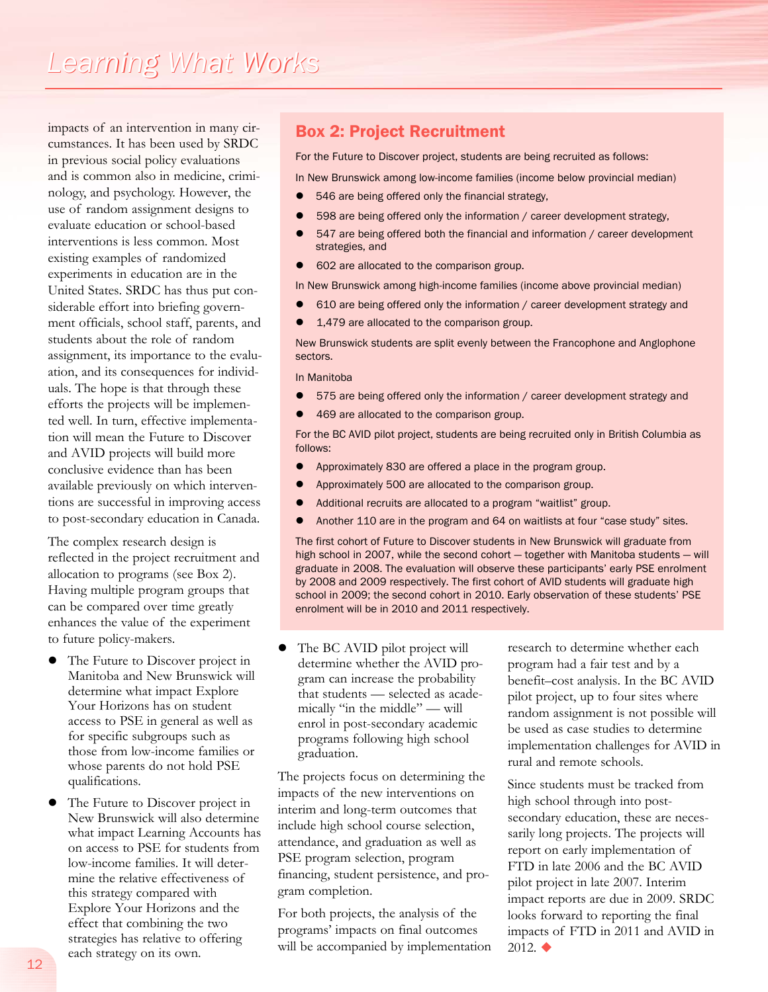impacts of an intervention in many circumstances. It has been used by SRDC in previous social policy evaluations and is common also in medicine, criminology, and psychology. However, the use of random assignment designs to evaluate education or school-based interventions is less common. Most existing examples of randomized experiments in education are in the United States. SRDC has thus put considerable effort into briefing government officials, school staff, parents, and students about the role of random assignment, its importance to the evaluation, and its consequences for individuals. The hope is that through these efforts the projects will be implemented well. In turn, effective implementation will mean the Future to Discover and AVID projects will build more conclusive evidence than has been available previously on which interventions are successful in improving access to post-secondary education in Canada.

The complex research design is reflected in the project recruitment and allocation to programs (see Box 2). Having multiple program groups that can be compared over time greatly enhances the value of the experiment to future policy-makers.

- The Future to Discover project in Manitoba and New Brunswick will determine what impact Explore Your Horizons has on student access to PSE in general as well as for specific subgroups such as those from low-income families or whose parents do not hold PSE qualifications.
- The Future to Discover project in New Brunswick will also determine what impact Learning Accounts has on access to PSE for students from low-income families. It will determine the relative effectiveness of this strategy compared with Explore Your Horizons and the effect that combining the two strategies has relative to offering each strategy on its own.

## Box 2: Project Recruitment

For the Future to Discover project, students are being recruited as follows:

In New Brunswick among low-income families (income below provincial median)

- 546 are being offered only the financial strategy,
- 598 are being offered only the information / career development strategy,
- 547 are being offered both the financial and information / career development strategies, and
- 602 are allocated to the comparison group.
- In New Brunswick among high-income families (income above provincial median)
- 610 are being offered only the information / career development strategy and
- 1,479 are allocated to the comparison group.

New Brunswick students are split evenly between the Francophone and Anglophone sectors.

In Manitoba

- 575 are being offered only the information / career development strategy and
- 469 are allocated to the comparison group.

For the BC AVID pilot project, students are being recruited only in British Columbia as follows:

- **•** Approximately 830 are offered a place in the program group.
- **•** Approximately 500 are allocated to the comparison group.
- **•** Additional recruits are allocated to a program "waitlist" group.
- Another 110 are in the program and 64 on waitlists at four "case study" sites.

The first cohort of Future to Discover students in New Brunswick will graduate from high school in 2007, while the second cohort — together with Manitoba students — will graduate in 2008. The evaluation will observe these participants' early PSE enrolment by 2008 and 2009 respectively. The first cohort of AVID students will graduate high school in 2009; the second cohort in 2010. Early observation of these students' PSE enrolment will be in 2010 and 2011 respectively.

The BC AVID pilot project will determine whether the AVID program can increase the probability that students — selected as academically "in the middle" — will enrol in post-secondary academic programs following high school graduation.

The projects focus on determining the impacts of the new interventions on interim and long-term outcomes that include high school course selection, attendance, and graduation as well as PSE program selection, program financing, student persistence, and program completion.

For both projects, the analysis of the programs' impacts on final outcomes will be accompanied by implementation

research to determine whether each program had a fair test and by a benefit–cost analysis. In the BC AVID pilot project, up to four sites where random assignment is not possible will be used as case studies to determine implementation challenges for AVID in rural and remote schools.

Since students must be tracked from high school through into postsecondary education, these are necessarily long projects. The projects will report on early implementation of FTD in late 2006 and the BC AVID pilot project in late 2007. Interim impact reports are due in 2009. SRDC looks forward to reporting the final impacts of FTD in 2011 and AVID in  $2012.$   $\triangleleft$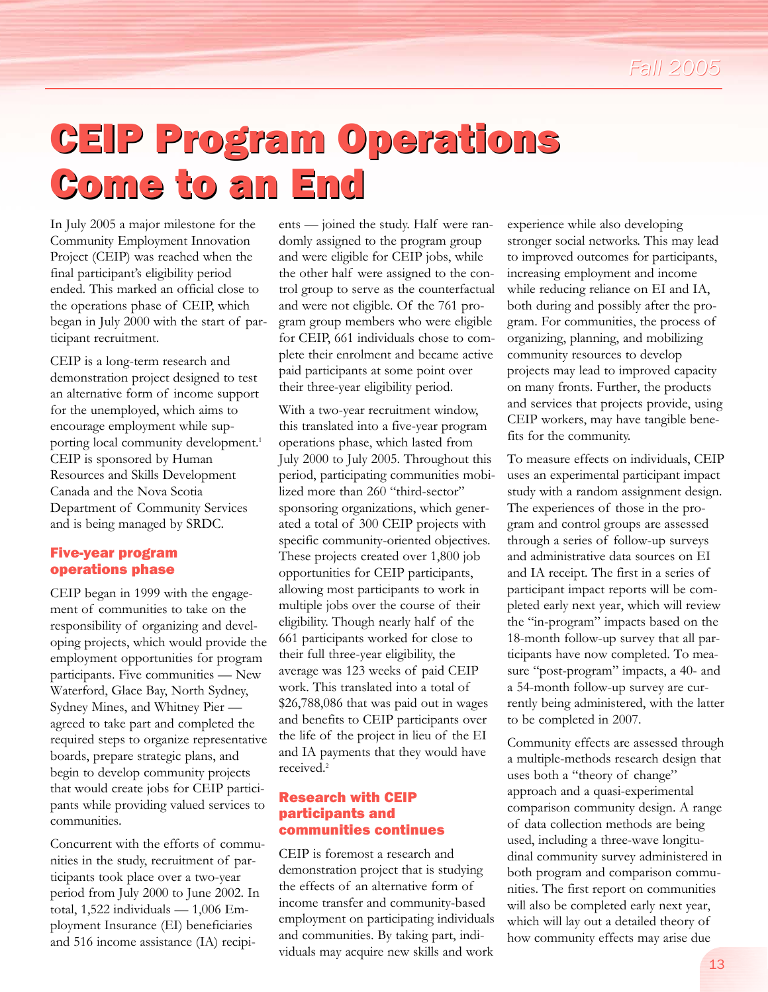## CEIP Program Operations CEIP Program Operations Come to an End

In July 2005 a major milestone for the Community Employment Innovation Project (CEIP) was reached when the final participant's eligibility period ended. This marked an official close to the operations phase of CEIP, which began in July 2000 with the start of participant recruitment.

CEIP is a long-term research and demonstration project designed to test an alternative form of income support for the unemployed, which aims to encourage employment while supporting local community development.<sup>1</sup> CEIP is sponsored by Human Resources and Skills Development Canada and the Nova Scotia Department of Community Services and is being managed by SRDC.

### Five-year program operations phase

CEIP began in 1999 with the engagement of communities to take on the responsibility of organizing and developing projects, which would provide the employment opportunities for program participants. Five communities — New Waterford, Glace Bay, North Sydney, Sydney Mines, and Whitney Pier agreed to take part and completed the required steps to organize representative boards, prepare strategic plans, and begin to develop community projects that would create jobs for CEIP participants while providing valued services to communities.

Concurrent with the efforts of communities in the study, recruitment of participants took place over a two-year period from July 2000 to June 2002. In total, 1,522 individuals — 1,006 Employment Insurance (EI) beneficiaries and 516 income assistance (IA) recipi-

ents — joined the study. Half were randomly assigned to the program group and were eligible for CEIP jobs, while the other half were assigned to the control group to serve as the counterfactual and were not eligible. Of the 761 program group members who were eligible for CEIP, 661 individuals chose to complete their enrolment and became active paid participants at some point over their three-year eligibility period.

With a two-year recruitment window, this translated into a five-year program operations phase, which lasted from July 2000 to July 2005. Throughout this period, participating communities mobilized more than 260 "third-sector" sponsoring organizations, which generated a total of 300 CEIP projects with specific community-oriented objectives. These projects created over 1,800 job opportunities for CEIP participants, allowing most participants to work in multiple jobs over the course of their eligibility. Though nearly half of the 661 participants worked for close to their full three-year eligibility, the average was 123 weeks of paid CEIP work. This translated into a total of \$26,788,086 that was paid out in wages and benefits to CEIP participants over the life of the project in lieu of the EI and IA payments that they would have received.<sup>2</sup>

## Research with CEIP participants and communities continues

CEIP is foremost a research and demonstration project that is studying the effects of an alternative form of income transfer and community-based employment on participating individuals and communities. By taking part, individuals may acquire new skills and work

experience while also developing stronger social networks. This may lead to improved outcomes for participants, increasing employment and income while reducing reliance on EI and IA, both during and possibly after the program. For communities, the process of organizing, planning, and mobilizing community resources to develop projects may lead to improved capacity on many fronts. Further, the products and services that projects provide, using CEIP workers, may have tangible benefits for the community.

To measure effects on individuals, CEIP uses an experimental participant impact study with a random assignment design. The experiences of those in the program and control groups are assessed through a series of follow-up surveys and administrative data sources on EI and IA receipt. The first in a series of participant impact reports will be completed early next year, which will review the "in-program" impacts based on the 18-month follow-up survey that all participants have now completed. To measure "post-program" impacts, a 40- and a 54-month follow-up survey are currently being administered, with the latter to be completed in 2007.

Community effects are assessed through a multiple-methods research design that uses both a "theory of change" approach and a quasi-experimental comparison community design. A range of data collection methods are being used, including a three-wave longitudinal community survey administered in both program and comparison communities. The first report on communities will also be completed early next year, which will lay out a detailed theory of how community effects may arise due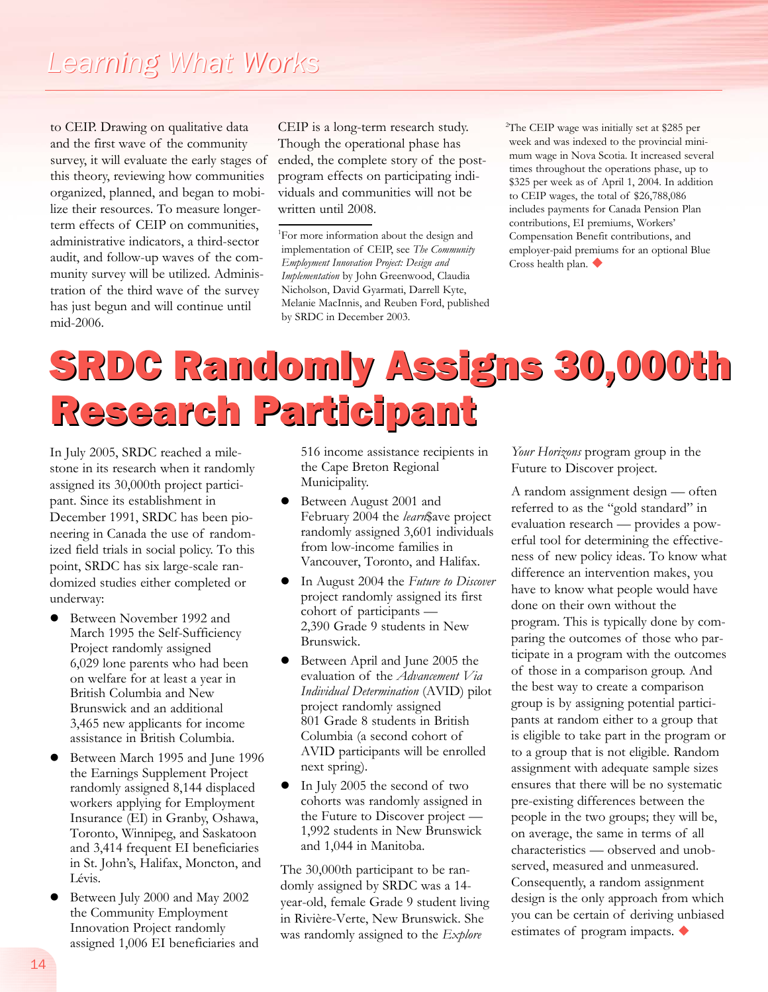to CEIP. Drawing on qualitative data and the first wave of the community survey, it will evaluate the early stages of this theory, reviewing how communities organized, planned, and began to mobilize their resources. To measure longerterm effects of CEIP on communities, administrative indicators, a third-sector audit, and follow-up waves of the community survey will be utilized. Administration of the third wave of the survey has just begun and will continue until mid-2006.

CEIP is a long-term research study. Though the operational phase has ended, the complete story of the postprogram effects on participating individuals and communities will not be written until 2008.

<sup>2</sup>The CEIP wage was initially set at \$285 per week and was indexed to the provincial minimum wage in Nova Scotia. It increased several times throughout the operations phase, up to \$325 per week as of April 1, 2004. In addition to CEIP wages, the total of \$26,788,086 includes payments for Canada Pension Plan contributions, EI premiums, Workers' Compensation Benefit contributions, and employer-paid premiums for an optional Blue Cross health plan.  $\blacklozenge$ 

## SRDC Randomly Assigns 30,000th SRDC Randomly Assigns 30,000th Research Participant Research

In July 2005, SRDC reached a milestone in its research when it randomly assigned its 30,000th project participant. Since its establishment in December 1991, SRDC has been pioneering in Canada the use of randomized field trials in social policy. To this point, SRDC has six large-scale randomized studies either completed or underway:

- **•** Between November 1992 and March 1995 the Self-Sufficiency Project randomly assigned 6,029 lone parents who had been on welfare for at least a year in British Columbia and New Brunswick and an additional 3,465 new applicants for income assistance in British Columbia.
- Between March 1995 and June 1996 the Earnings Supplement Project randomly assigned 8,144 displaced workers applying for Employment Insurance (EI) in Granby, Oshawa, Toronto, Winnipeg, and Saskatoon and 3,414 frequent EI beneficiaries in St. John's, Halifax, Moncton, and Lévis.
- Between July 2000 and May 2002 the Community Employment Innovation Project randomly assigned 1,006 EI beneficiaries and

516 income assistance recipients in the Cape Breton Regional Municipality.

- l Between August 2001 and February 2004 the *learn*\$ave project randomly assigned 3,601 individuals from low-income families in Vancouver, Toronto, and Halifax.
- In August 2004 the *Future to Discover* project randomly assigned its first cohort of participants — 2,390 Grade 9 students in New Brunswick.
- **•** Between April and June 2005 the evaluation of the *Advancement Via Individual Determination* (AVID) pilot project randomly assigned 801 Grade 8 students in British Columbia (a second cohort of AVID participants will be enrolled next spring).
- $\bullet$  In July 2005 the second of two cohorts was randomly assigned in the Future to Discover project — 1,992 students in New Brunswick and 1,044 in Manitoba.

The 30,000th participant to be randomly assigned by SRDC was a 14 year-old, female Grade 9 student living in Rivière-Verte, New Brunswick. She was randomly assigned to the *Explore*

*Your Horizons* program group in the Future to Discover project.

A random assignment design — often referred to as the "gold standard" in evaluation research — provides a powerful tool for determining the effectiveness of new policy ideas. To know what difference an intervention makes, you have to know what people would have done on their own without the program. This is typically done by comparing the outcomes of those who participate in a program with the outcomes of those in a comparison group. And the best way to create a comparison group is by assigning potential participants at random either to a group that is eligible to take part in the program or to a group that is not eligible. Random assignment with adequate sample sizes ensures that there will be no systematic pre-existing differences between the people in the two groups; they will be, on average, the same in terms of all characteristics — observed and unobserved, measured and unmeasured. Consequently, a random assignment design is the only approach from which you can be certain of deriving unbiased estimates of program impacts.  $\blacklozenge$ 

<sup>&</sup>lt;sup>1</sup>For more information about the design and implementation of CEIP, see *The Community Employment Innovation Project: Design and Implementation* by John Greenwood, Claudia Nicholson, David Gyarmati, Darrell Kyte, Melanie MacInnis, and Reuben Ford, published by SRDC in December 2003.